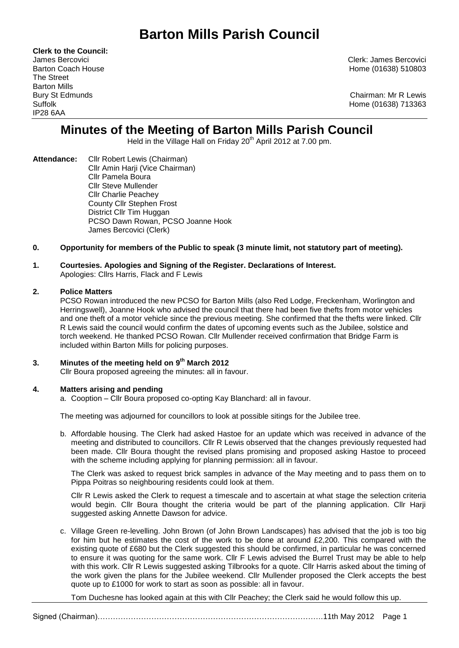# **Barton Mills Parish Council**

**Clerk to the Council:** The Street Barton Mills IP28 6AA

James Bercovici Clerk: James Bercovici Barton Coach House **Home (01638)** 510803

Bury St Edmunds Chairman: Mr R Lewis Suffolk Home (01638) 713363

## **Minutes of the Meeting of Barton Mills Parish Council**

Held in the Village Hall on Friday 20<sup>th</sup> April 2012 at 7.00 pm.

- **Attendance:** Cllr Robert Lewis (Chairman) Cllr Amin Harji (Vice Chairman) Cllr Pamela Boura Cllr Steve Mullender Cllr Charlie Peachey County Cllr Stephen Frost District Cllr Tim Huggan PCSO Dawn Rowan, PCSO Joanne Hook James Bercovici (Clerk)
- **0. Opportunity for members of the Public to speak (3 minute limit, not statutory part of meeting).**

## **1. Courtesies. Apologies and Signing of the Register. Declarations of Interest.**

Apologies: Cllrs Harris, Flack and F Lewis

#### **2. Police Matters**

PCSO Rowan introduced the new PCSO for Barton Mills (also Red Lodge, Freckenham, Worlington and Herringswell), Joanne Hook who advised the council that there had been five thefts from motor vehicles and one theft of a motor vehicle since the previous meeting. She confirmed that the thefts were linked. Cllr R Lewis said the council would confirm the dates of upcoming events such as the Jubilee, solstice and torch weekend. He thanked PCSO Rowan. Cllr Mullender received confirmation that Bridge Farm is included within Barton Mills for policing purposes.

#### **3. Minutes of the meeting held on 9 th March 2012**

Cllr Boura proposed agreeing the minutes: all in favour.

#### **4. Matters arising and pending**

a. Cooption – Cllr Boura proposed co-opting Kay Blanchard: all in favour.

The meeting was adjourned for councillors to look at possible sitings for the Jubilee tree.

b. Affordable housing. The Clerk had asked Hastoe for an update which was received in advance of the meeting and distributed to councillors. Cllr R Lewis observed that the changes previously requested had been made. Cllr Boura thought the revised plans promising and proposed asking Hastoe to proceed with the scheme including applying for planning permission: all in favour.

The Clerk was asked to request brick samples in advance of the May meeting and to pass them on to Pippa Poitras so neighbouring residents could look at them.

Cllr R Lewis asked the Clerk to request a timescale and to ascertain at what stage the selection criteria would begin. Cllr Boura thought the criteria would be part of the planning application. Cllr Harji suggested asking Annette Dawson for advice.

c. Village Green re-levelling. John Brown (of John Brown Landscapes) has advised that the job is too big for him but he estimates the cost of the work to be done at around £2,200. This compared with the existing quote of £680 but the Clerk suggested this should be confirmed, in particular he was concerned to ensure it was quoting for the same work. Cllr F Lewis advised the Burrel Trust may be able to help with this work. Cllr R Lewis suggested asking Tilbrooks for a quote. Cllr Harris asked about the timing of the work given the plans for the Jubilee weekend. Cllr Mullender proposed the Clerk accepts the best quote up to £1000 for work to start as soon as possible: all in favour.

Tom Duchesne has looked again at this with Cllr Peachey; the Clerk said he would follow this up.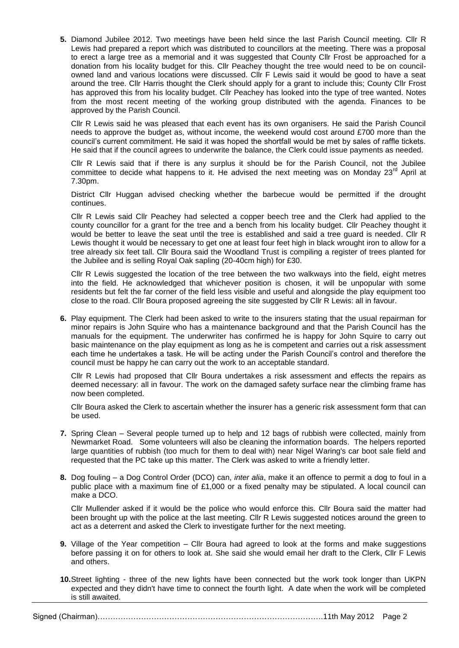**5.** Diamond Jubilee 2012. Two meetings have been held since the last Parish Council meeting. Cllr R Lewis had prepared a report which was distributed to councillors at the meeting. There was a proposal to erect a large tree as a memorial and it was suggested that County Cllr Frost be approached for a donation from his locality budget for this. Cllr Peachey thought the tree would need to be on councilowned land and various locations were discussed. Cllr F Lewis said it would be good to have a seat around the tree. Cllr Harris thought the Clerk should apply for a grant to include this; County Cllr Frost has approved this from his locality budget. Cllr Peachey has looked into the type of tree wanted. Notes from the most recent meeting of the working group distributed with the agenda. Finances to be approved by the Parish Council.

Cllr R Lewis said he was pleased that each event has its own organisers. He said the Parish Council needs to approve the budget as, without income, the weekend would cost around £700 more than the council's current commitment. He said it was hoped the shortfall would be met by sales of raffle tickets. He said that if the council agrees to underwrite the balance, the Clerk could issue payments as needed.

Cllr R Lewis said that if there is any surplus it should be for the Parish Council, not the Jubilee committee to decide what happens to it. He advised the next meeting was on Monday 23<sup>rd</sup> April at 7.30pm.

District Cllr Huggan advised checking whether the barbecue would be permitted if the drought continues.

Cllr R Lewis said Cllr Peachey had selected a copper beech tree and the Clerk had applied to the county councillor for a grant for the tree and a bench from his locality budget. Cllr Peachey thought it would be better to leave the seat until the tree is established and said a tree guard is needed. Cllr R Lewis thought it would be necessary to get one at least four feet high in black wrought iron to allow for a tree already six feet tall. Cllr Boura said the Woodland Trust is compiling a register of trees planted for the Jubilee and is selling Royal Oak sapling (20-40cm high) for £30.

Cllr R Lewis suggested the location of the tree between the two walkways into the field, eight metres into the field. He acknowledged that whichever position is chosen, it will be unpopular with some residents but felt the far corner of the field less visible and useful and alongside the play equipment too close to the road. Cllr Boura proposed agreeing the site suggested by Cllr R Lewis: all in favour.

**6.** Play equipment. The Clerk had been asked to write to the insurers stating that the usual repairman for minor repairs is John Squire who has a maintenance background and that the Parish Council has the manuals for the equipment. The underwriter has confirmed he is happy for John Squire to carry out basic maintenance on the play equipment as long as he is competent and carries out a risk assessment each time he undertakes a task. He will be acting under the Parish Council's control and therefore the council must be happy he can carry out the work to an acceptable standard.

Cllr R Lewis had proposed that Cllr Boura undertakes a risk assessment and effects the repairs as deemed necessary: all in favour. The work on the damaged safety surface near the climbing frame has now been completed.

Cllr Boura asked the Clerk to ascertain whether the insurer has a generic risk assessment form that can be used.

- **7.** Spring Clean Several people turned up to help and 12 bags of rubbish were collected, mainly from Newmarket Road. Some volunteers will also be cleaning the information boards. The helpers reported large quantities of rubbish (too much for them to deal with) near Nigel Waring's car boot sale field and requested that the PC take up this matter. The Clerk was asked to write a friendly letter.
- **8.** Dog fouling a Dog Control Order (DCO) can, *inter alia*, make it an offence to permit a dog to foul in a public place with a maximum fine of £1,000 or a fixed penalty may be stipulated. A local council can make a DCO.

Cllr Mullender asked if it would be the police who would enforce this. Cllr Boura said the matter had been brought up with the police at the last meeting. Cllr R Lewis suggested notices around the green to act as a deterrent and asked the Clerk to investigate further for the next meeting.

- **9.** Village of the Year competition Cllr Boura had agreed to look at the forms and make suggestions before passing it on for others to look at. She said she would email her draft to the Clerk, Cllr F Lewis and others.
- **10.**Street lighting three of the new lights have been connected but the work took longer than UKPN expected and they didn't have time to connect the fourth light. A date when the work will be completed is still awaited.

Signed (Chairman)…………………………………………………………………………….11th May 2012 Page 2